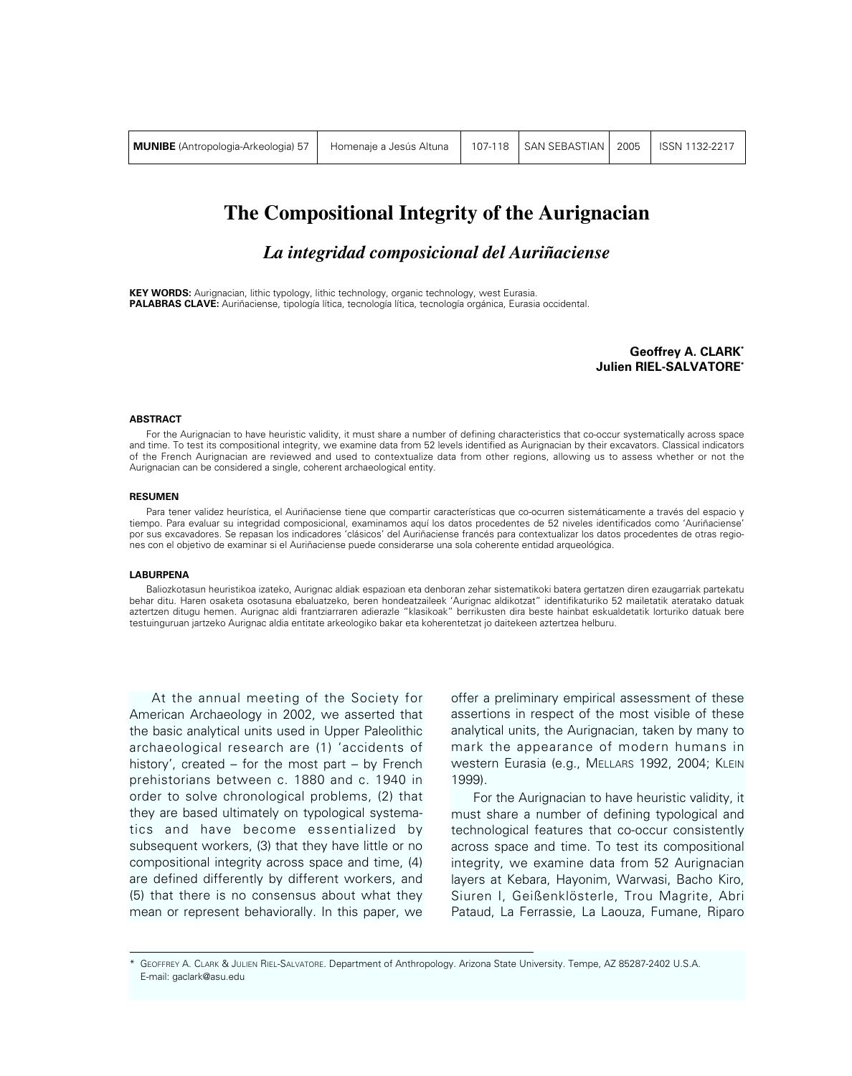| <b>MUNIBE</b> (Antropologia-Arkeologia) 57 | Homenaie a Jesús Altuna |  | 107-118 SAN SEBASTIAN 2005   ISSN 1132-2217 |  |  |
|--------------------------------------------|-------------------------|--|---------------------------------------------|--|--|
|--------------------------------------------|-------------------------|--|---------------------------------------------|--|--|

# **The Compositional Integrity of the Aurignacian**

*La integridad composicional del Auriñaciense*

**KEY WORDS:** Aurignacian, lithic typology, lithic technology, organic technology, west Eurasia. **PALABRAS CLAVE:** Auriñaciense, tipología lítica, tecnología lítica, tecnología orgánica, Eurasia occidental.

> **Geoffrey A. CLARK\* Julien RIEL-SALVATORE\***

### **ABSTRACT**

For the Aurignacian to have heuristic validity, it must share a number of defining characteristics that co-occur systematically across space and time. To test its compositional integrity, we examine data from 52 levels identified as Aurignacian by their excavators. Classical indicators of the French Aurignacian are reviewed and used to contextualize data from other regions, allowing us to assess whether or not the Aurignacian can be considered a single, coherent archaeological entity.

#### **RESUMEN**

Para tener validez heurística, el Auriñaciense tiene que compartir características que co-ocurren sistemáticamente a través del espacio y tiempo. Para evaluar su integridad composicional, examinamos aquí los datos procedentes de 52 niveles identificados como 'Auriñaciense' por sus excavadores. Se repasan los indicadores 'clásicos' del Auriñaciense francés para contextualizar los datos procedentes de otras regiones con el objetivo de examinar si el Auriñaciense puede considerarse una sola coherente entidad arqueológica.

### **LABURPENA**

Baliozkotasun heuristikoa izateko, Aurignac aldiak espazioan eta denboran zehar sistematikoki batera gertatzen diren ezaugarriak partekatu behar ditu. Haren osaketa osotasuna ebaluatzeko, beren hondeatzaileek 'Aurignac aldikotzat" identifikaturiko 52 mailetatik ateratako datuak aztertzen ditugu hemen. Aurignac aldi frantziarraren adierazle "klasikoak" berrikusten dira beste hainbat eskualdetatik lorturiko datuak bere testuinguruan jartzeko Aurignac aldia entitate arkeologiko bakar eta koherentetzat jo daitekeen aztertzea helburu.

At the annual meeting of the Society for American Archaeology in 2002, we asserted that the basic analytical units used in Upper Paleolithic archaeological research are (1) 'accidents of history', created – for the most part – by French prehistorians between c. 1880 and c. 1940 in order to solve chronological problems, (2) that they are based ultimately on typological systematics and have become essentialized by subsequent workers, (3) that they have little or no compositional integrity across space and time, (4) are defined differently by different workers, and (5) that there is no consensus about what they mean or represent behaviorally. In this paper, we

offer a preliminary empirical assessment of these assertions in respect of the most visible of these analytical units, the Aurignacian, taken by many to mark the appearance of modern humans in western Eurasia (e.g., MELLARS 1992, 2004; KLEIN 1999).

For the Aurignacian to have heuristic validity, it must share a number of defining typological and technological features that co-occur consistently across space and time. To test its compositional integrity, we examine data from 52 Aurignacian layers at Kebara, Hayonim, Warwasi, Bacho Kiro, Siuren I, Geißenklösterle, Trou Magrite, Abri Pataud, La Ferrassie, La Laouza, Fumane, Riparo

GEOFFREY A. CLARK & JULIEN RIEL-SALVATORE. Department of Anthropology. Arizona State University. Tempe, AZ 85287-2402 U.S.A. E-mail: gaclark@asu.edu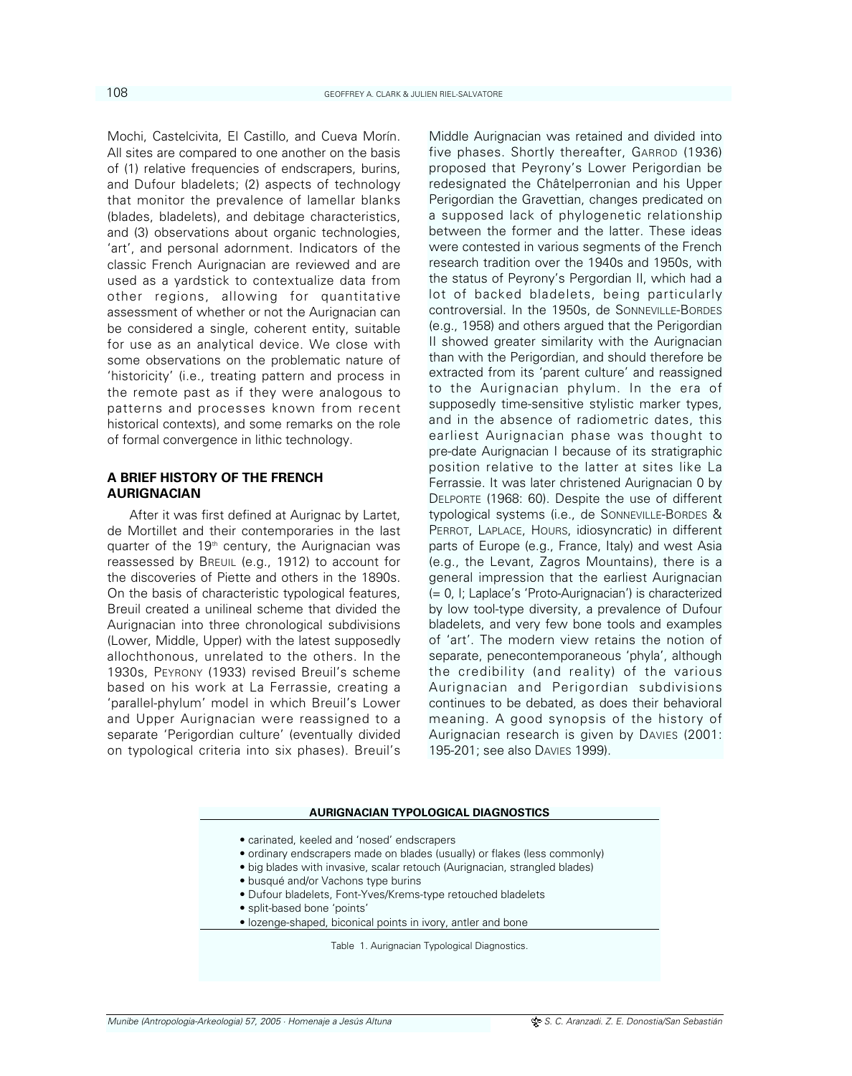Mochi, Castelcivita, El Castillo, and Cueva Morín. All sites are compared to one another on the basis of (1) relative frequencies of endscrapers, burins, and Dufour bladelets; (2) aspects of technology that monitor the prevalence of lamellar blanks (blades, bladelets), and debitage characteristics, and (3) observations about organic technologies, 'art', and personal adornment. Indicators of the classic French Aurignacian are reviewed and are used as a yardstick to contextualize data from other regions, allowing for quantitative assessment of whether or not the Aurignacian can be considered a single, coherent entity, suitable for use as an analytical device. We close with some observations on the problematic nature of 'historicity' (i.e., treating pattern and process in the remote past as if they were analogous to patterns and processes known from recent historical contexts), and some remarks on the role of formal convergence in lithic technology.

# **A BRIEF HISTORY OF THE FRENCH AURIGNACIAN**

After it was first defined at Aurignac by Lartet, de Mortillet and their contemporaries in the last quarter of the 19<sup>th</sup> century, the Aurignacian was reassessed by BREUIL (e.g., 1912) to account for the discoveries of Piette and others in the 1890s. On the basis of characteristic typological features, Breuil created a unilineal scheme that divided the Aurignacian into three chronological subdivisions (Lower, Middle, Upper) with the latest supposedly allochthonous, unrelated to the others. In the 1930s, PEYRONY (1933) revised Breuil's scheme based on his work at La Ferrassie, creating a 'parallel-phylum' model in which Breuil's Lower and Upper Aurignacian were reassigned to a separate 'Perigordian culture' (eventually divided on typological criteria into six phases). Breuil's

Middle Aurignacian was retained and divided into five phases. Shortly thereafter, GARROD (1936) proposed that Peyrony's Lower Perigordian be redesignated the Châtelperronian and his Upper Perigordian the Gravettian, changes predicated on a supposed lack of phylogenetic relationship between the former and the latter. These ideas were contested in various segments of the French research tradition over the 1940s and 1950s, with the status of Peyrony's Pergordian II, which had a lot of backed bladelets, being particularly controversial. In the 1950s, de SONNEVILLE-BORDES (e.g., 1958) and others argued that the Perigordian II showed greater similarity with the Aurignacian than with the Perigordian, and should therefore be extracted from its 'parent culture' and reassigned to the Aurignacian phylum. In the era of supposedly time-sensitive stylistic marker types, and in the absence of radiometric dates, this earliest Aurignacian phase was thought to pre-date Aurignacian I because of its stratigraphic position relative to the latter at sites like La Ferrassie. It was later christened Aurignacian 0 by DELPORTE (1968: 60). Despite the use of different typological systems (i.e., de SONNEVILLE-BORDES & PERROT, LAPLACE, HOURS, idiosyncratic) in different parts of Europe (e.g., France, Italy) and west Asia (e.g., the Levant, Zagros Mountains), there is a general impression that the earliest Aurignacian (= 0, I; Laplace's 'Proto-Aurignacian') is characterized by low tool-type diversity, a prevalence of Dufour bladelets, and very few bone tools and examples of 'art'. The modern view retains the notion of separate, penecontemporaneous 'phyla', although the credibility (and reality) of the various Aurignacian and Perigordian subdivisions continues to be debated, as does their behavioral meaning. A good synopsis of the history of Aurignacian research is given by DAVIES (2001: 195-201; see also DAVIES 1999).

### **AURIGNACIAN TYPOLOGICAL DIAGNOSTICS**

- carinated, keeled and 'nosed' endscrapers
- ordinary endscrapers made on blades (usually) or flakes (less commonly)
- big blades with invasive, scalar retouch (Aurignacian, strangled blades)
- busqué and/or Vachons type burins
- Dufour bladelets, Font-Yves/Krems-type retouched bladelets
- split-based bone 'points'
- lozenge-shaped, biconical points in ivory, antler and bone

Table 1. Aurignacian Typological Diagnostics.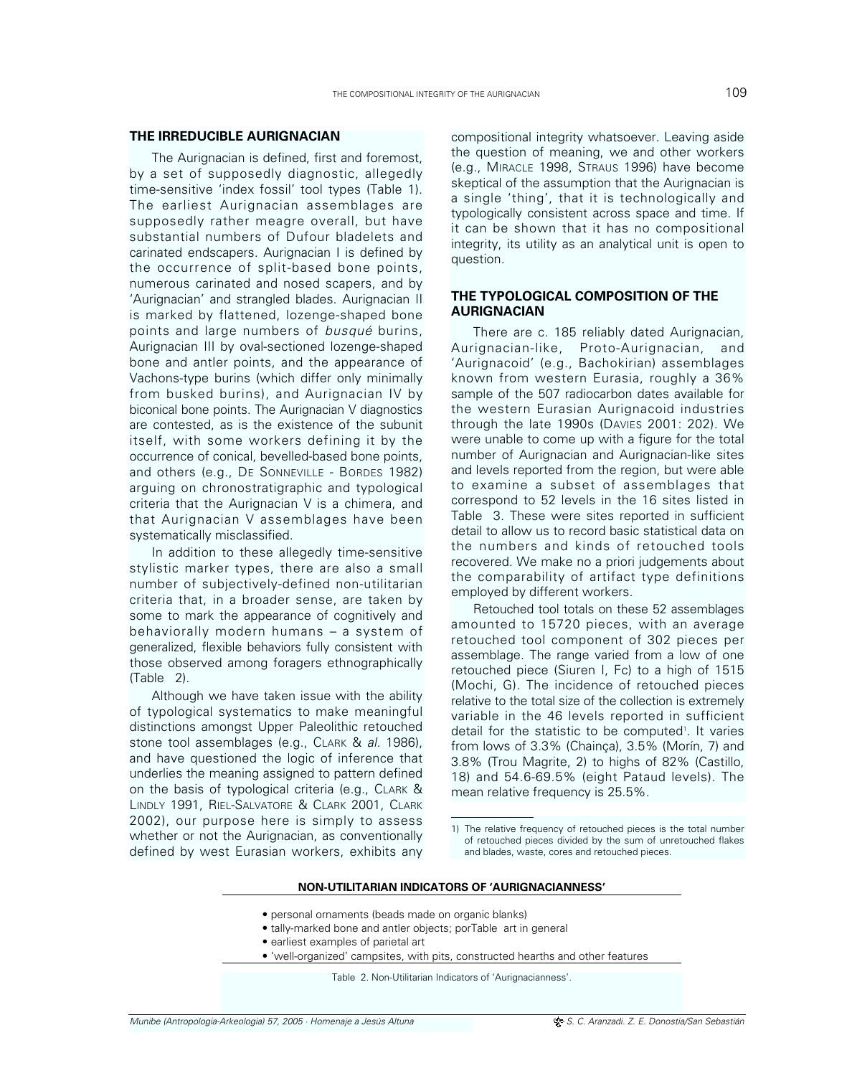# **THE IRREDUCIBLE AURIGNACIAN**

The Aurignacian is defined, first and foremost, by a set of supposedly diagnostic, allegedly time-sensitive 'index fossil' tool types (Table 1). The earliest Aurignacian assemblages are supposedly rather meagre overall, but have substantial numbers of Dufour bladelets and carinated endscapers. Aurignacian I is defined by the occurrence of split-based bone points, numerous carinated and nosed scapers, and by 'Aurignacian' and strangled blades. Aurignacian II is marked by flattened, lozenge-shaped bone points and large numbers of busqué burins, Aurignacian III by oval-sectioned lozenge-shaped bone and antler points, and the appearance of Vachons-type burins (which differ only minimally from busked burins), and Aurignacian IV by biconical bone points. The Aurignacian V diagnostics are contested, as is the existence of the subunit itself, with some workers defining it by the occurrence of conical, bevelled-based bone points, and others (e.g., DE SONNEVILLE - BORDES 1982) arguing on chronostratigraphic and typological criteria that the Aurignacian V is a chimera, and that Aurignacian V assemblages have been systematically misclassified.

In addition to these allegedly time-sensitive stylistic marker types, there are also a small number of subjectively-defined non-utilitarian criteria that, in a broader sense, are taken by some to mark the appearance of cognitively and behaviorally modern humans – a system of generalized, flexible behaviors fully consistent with those observed among foragers ethnographically (Table 2).

Although we have taken issue with the ability of typological systematics to make meaningful distinctions amongst Upper Paleolithic retouched stone tool assemblages (e.g., CLARK & al. 1986), and have questioned the logic of inference that underlies the meaning assigned to pattern defined on the basis of typological criteria (e.g., CLARK & LINDLY 1991, RIEL-SALVATORE & CLARK 2001, CLARK 2002), our purpose here is simply to assess whether or not the Aurignacian, as conventionally defined by west Eurasian workers, exhibits any compositional integrity whatsoever. Leaving aside the question of meaning, we and other workers (e.g., MIRACLE 1998, STRAUS 1996) have become skeptical of the assumption that the Aurignacian is a single 'thing', that it is technologically and typologically consistent across space and time. If it can be shown that it has no compositional integrity, its utility as an analytical unit is open to question.

# **THE TYPOLOGICAL COMPOSITION OF THE AURIGNACIAN**

There are c. 185 reliably dated Aurignacian, Aurignacian-like, Proto-Aurignacian, and 'Aurignacoid' (e.g., Bachokirian) assemblages known from western Eurasia, roughly a 36% sample of the 507 radiocarbon dates available for the western Eurasian Aurignacoid industries through the late 1990s (DAVIES 2001: 202). We were unable to come up with a figure for the total number of Aurignacian and Aurignacian-like sites and levels reported from the region, but were able to examine a subset of assemblages that correspond to 52 levels in the 16 sites listed in Table 3. These were sites reported in sufficient detail to allow us to record basic statistical data on the numbers and kinds of retouched tools recovered. We make no a priori judgements about the comparability of artifact type definitions employed by different workers.

Retouched tool totals on these 52 assemblages amounted to 15720 pieces, with an average retouched tool component of 302 pieces per assemblage. The range varied from a low of one retouched piece (Siuren I, Fc) to a high of 1515 (Mochi, G). The incidence of retouched pieces relative to the total size of the collection is extremely variable in the 46 levels reported in sufficient detail for the statistic to be computed<sup>1</sup>. It varies from lows of 3.3% (Chainça), 3.5% (Morín, 7) and 3.8% (Trou Magrite, 2) to highs of 82% (Castillo, 18) and 54.6-69.5% (eight Pataud levels). The mean relative frequency is 25.5%.

# **NON-UTILITARIAN INDICATORS OF 'AURIGNACIANNESS'**

- personal ornaments (beads made on organic blanks)
- tally-marked bone and antler objects; porTable art in general
- earliest examples of parietal art
- 'well-organized' campsites, with pits, constructed hearths and other features

Table 2. Non-Utilitarian Indicators of 'Aurignacianness'.

<sup>1)</sup> The relative frequency of retouched pieces is the total number of retouched pieces divided by the sum of unretouched flakes and blades, waste, cores and retouched pieces.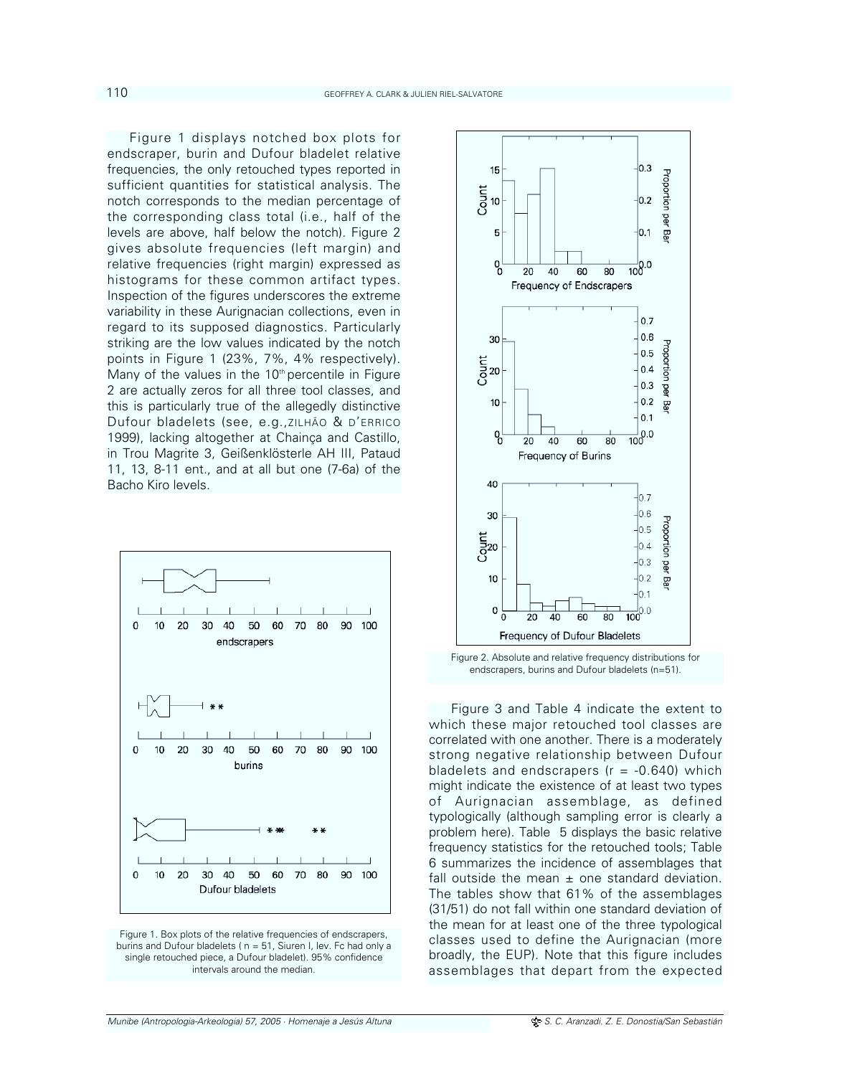Figure 1 displays notched box plots for endscraper, burin and Dufour bladelet relative frequencies, the only retouched types reported in sufficient quantities for statistical analysis. The notch corresponds to the median percentage of the corresponding class total (i.e., half of the levels are above, half below the notch). Figure 2 gives absolute frequencies (left margin) and relative frequencies (right margin) expressed as histograms for these common artifact types. Inspection of the figures underscores the extreme variability in these Aurignacian collections, even in regard to its supposed diagnostics. Particularly striking are the low values indicated by the notch points in Figure 1 (23%, 7%, 4% respectively). Many of the values in the  $10<sup>th</sup>$  percentile in Figure 2 are actually zeros for all three tool classes, and this is particularly true of the allegedly distinctive Dufour bladelets (see, e.g.,ZILHÃO & D'ERRICO 1999), lacking altogether at Chainça and Castillo, in Trou Magrite 3, Geißenklösterle AH III, Pataud 11, 13, 8-11 ent., and at all but one (7-6a) of the Bacho Kiro levels.



Figure 1. Box plots of the relative frequencies of endscrapers, burins and Dufour bladelets ( n = 51, Siuren I, lev. Fc had only a single retouched piece, a Dufour bladelet). 95% confidence intervals around the median.



Figure 2. Absolute and relative frequency distributions for endscrapers, burins and Dufour bladelets (n=51).

Figure 3 and Table 4 indicate the extent to which these major retouched tool classes are correlated with one another. There is a moderately strong negative relationship between Dufour bladelets and endscrapers ( $r = -0.640$ ) which might indicate the existence of at least two types of Aurignacian assemblage, as defined typologically (although sampling error is clearly a problem here). Table 5 displays the basic relative frequency statistics for the retouched tools; Table 6 summarizes the incidence of assemblages that fall outside the mean  $\pm$  one standard deviation. The tables show that 61% of the assemblages (31/51) do not fall within one standard deviation of the mean for at least one of the three typological classes used to define the Aurignacian (more broadly, the EUP). Note that this figure includes assemblages that depart from the expected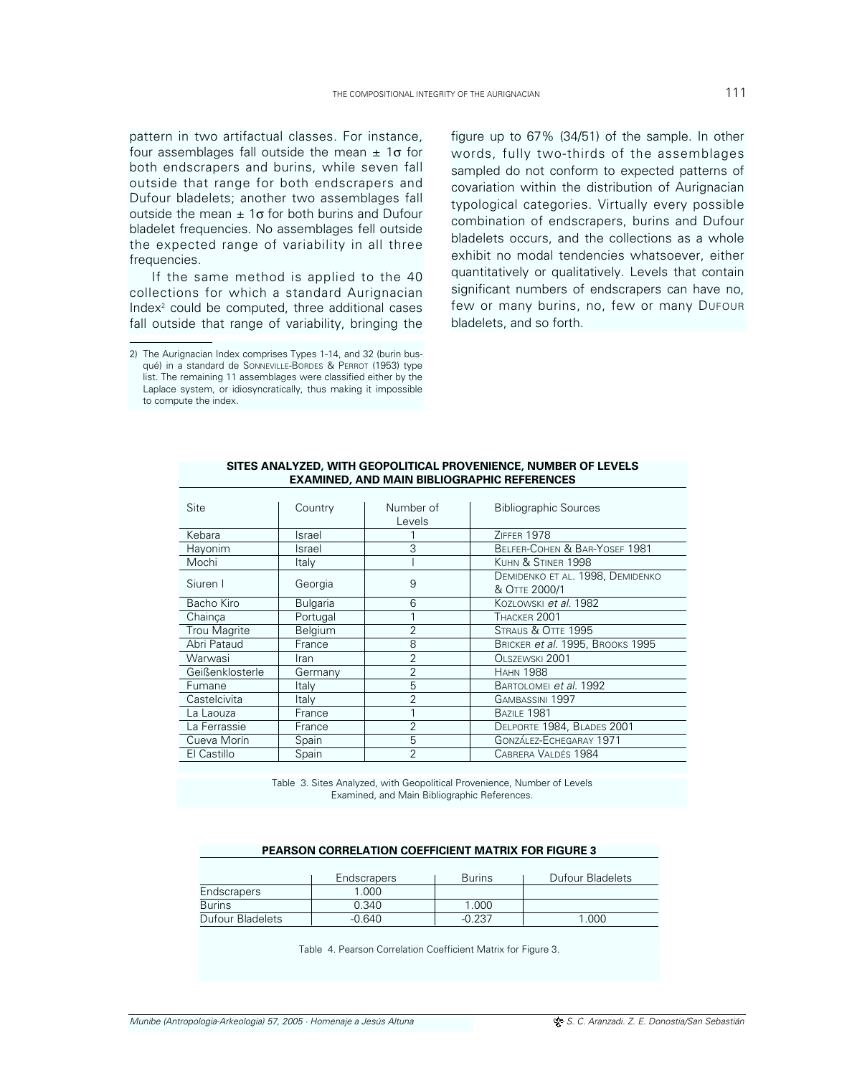pattern in two artifactual classes. For instance, four assemblages fall outside the mean  $\pm$  1 $\sigma$  for both endscrapers and burins, while seven fall outside that range for both endscrapers and Dufour bladelets; another two assemblages fall outside the mean  $\pm$  1 $\sigma$  for both burins and Dufour bladelet frequencies. No assemblages fell outside the expected range of variability in all three frequencies.

If the same method is applied to the 40 collections for which a standard Aurignacian  $Index<sup>2</sup>$  could be computed, three additional cases fall outside that range of variability, bringing the

figure up to 67% (34/51) of the sample. In other words, fully two-thirds of the assemblages sampled do not conform to expected patterns of covariation within the distribution of Aurignacian typological categories. Virtually every possible combination of endscrapers, burins and Dufour bladelets occurs, and the collections as a whole exhibit no modal tendencies whatsoever, either quantitatively or qualitatively. Levels that contain significant numbers of endscrapers can have no, few or many burins, no, few or many DUFOUR bladelets, and so forth.

| Site                | Country         | Number of      | <b>Bibliographic Sources</b>     |
|---------------------|-----------------|----------------|----------------------------------|
|                     |                 | Levels         |                                  |
| Kebara              | Israel          |                | ZIFFFR 1978                      |
| Hayonim             | Israel          | 3              | BELFER-COHEN & BAR-YOSEF 1981    |
| Mochi               | Italy           |                | KUHN & STINER 1998               |
| Siuren I            |                 | 9              | DEMIDENKO ET AL. 1998, DEMIDENKO |
|                     | Georgia         |                | & OTTE 2000/1                    |
| Bacho Kiro          | <b>Bulgaria</b> | 6              | Kozi owski et al. 1982           |
| Chainca             | Portugal        |                | THACKER 2001                     |
| <b>Trou Magrite</b> | Belgium         | $\overline{2}$ | STRAUS & OTTE 1995               |
| Abri Pataud         | France          | 8              | BRICKER et al. 1995, BROOKS 1995 |
| Warwasi             | Iran            | $\overline{2}$ | OLSZEWSKI 2001                   |
| Geißenklosterle     | Germany         | 2              | <b>HAHN 1988</b>                 |
| Fumane              | Italy           | 5              | BARTOLOMEI et al. 1992           |
| Castelcivita        | Italy           | $\overline{2}$ | GAMBASSINI 1997                  |
| La Laouza           | France          | 1              | <b>BAZILE 1981</b>               |
| La Ferrassie        | France          | $\overline{2}$ | DELPORTE 1984, BLADES 2001       |
| Cueva Morín         | Spain           | 5              | GONZÁLEZ-ECHEGARAY 1971          |
| El Castillo         | Spain           | $\overline{2}$ | CABRERA VALDÉS 1984              |

# **SITES ANALYZED, WITH GEOPOLITICAL PROVENIENCE, NUMBER OF LEVELS EXAMINED, AND MAIN BIBLIOGRAPHIC REFERENCES**

Table 3. Sites Analyzed, with Geopolitical Provenience, Number of Levels Examined, and Main Bibliographic References.

# **PEARSON CORRELATION COEFFICIENT MATRIX FOR FIGURE 3**

|                  | <b>Endscrapers</b> | <b>Burins</b> | Dufour Bladelets |
|------------------|--------------------|---------------|------------------|
| Endscrapers      | 1.000              |               |                  |
| <b>Burins</b>    | 0.340              | 1.000         |                  |
| Dufour Bladelets | $-0.640$           | $-0.237$      | 1.000            |

Table 4. Pearson Correlation Coefficient Matrix for Figure 3.

<sup>2)</sup> The Aurignacian Index comprises Types 1-14, and 32 (burin busqué) in a standard de SONNEVILLE-BORDES & PERROT (1953) type list. The remaining 11 assemblages were classified either by the Laplace system, or idiosyncratically, thus making it impossible to compute the index.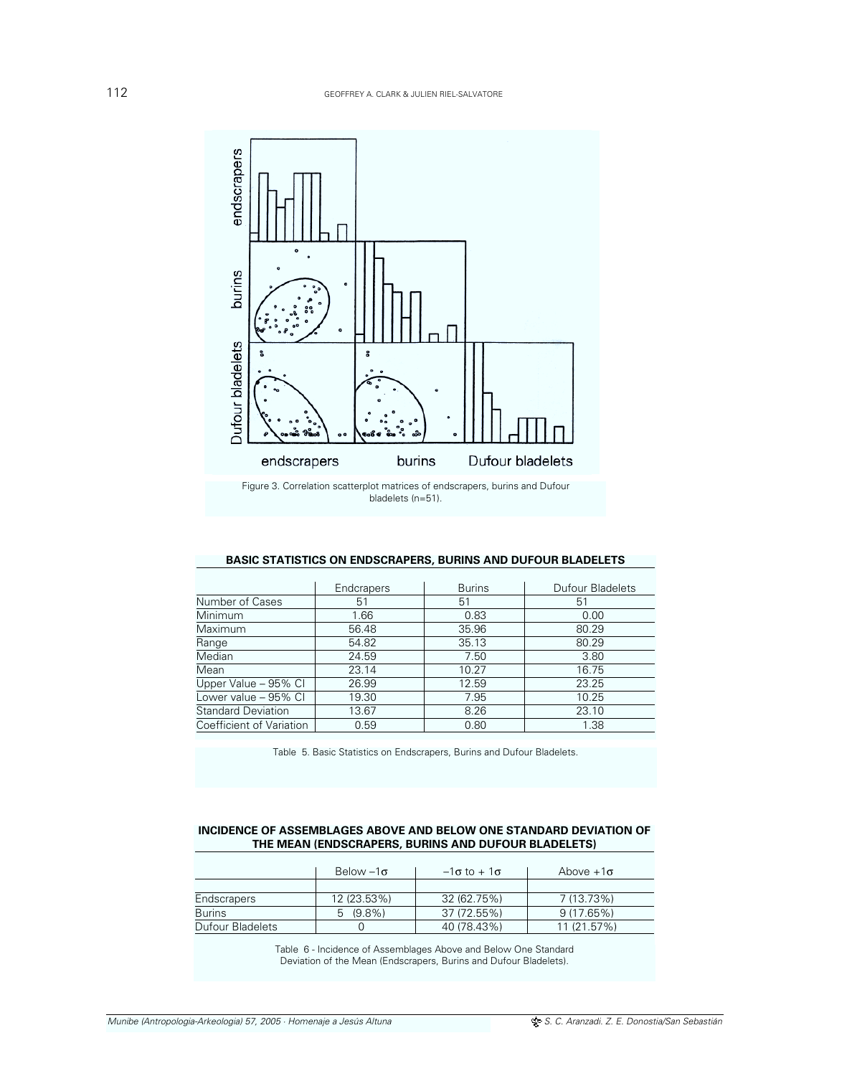

# **BASIC STATISTICS ON ENDSCRAPERS, BURINS AND DUFOUR BLADELETS**

|                           | Endcrapers | <b>Burins</b> | Dufour Bladelets |
|---------------------------|------------|---------------|------------------|
| Number of Cases           | 51         | 51            | 51               |
| Minimum                   | 1.66       | 0.83          | 0.00             |
| Maximum                   | 56.48      | 35.96         | 80.29            |
| Range                     | 54.82      | 35.13         | 80.29            |
| Median                    | 24.59      | 7.50          | 3.80             |
| Mean                      | 23.14      | 10.27         | 16.75            |
| Upper Value - 95% Cl      | 26.99      | 12.59         | 23.25            |
| Lower value - 95% Cl      | 19.30      | 7.95          | 10.25            |
| <b>Standard Deviation</b> | 13.67      | 8.26          | 23.10            |
| Coefficient of Variation  | 0.59       | 0.80          | 1.38             |

Table 5. Basic Statistics on Endscrapers, Burins and Dufour Bladelets.

# **INCIDENCE OF ASSEMBLAGES ABOVE AND BELOW ONE STANDARD DEVIATION OF THE MEAN (ENDSCRAPERS, BURINS AND DUFOUR BLADELETS)**

|                         | Below $-1\sigma$ | $-1\sigma$ to + 1 $\sigma$ | Above $+1\sigma$ |
|-------------------------|------------------|----------------------------|------------------|
|                         |                  |                            |                  |
| <b>Endscrapers</b>      | 12 (23.53%)      | 32 (62.75%)                | 7 (13.73%)       |
| <b>Burins</b>           | $5(9.8\%)$       | 37 (72.55%)                | 9 (17.65%)       |
| <b>Dufour Bladelets</b> |                  | 40 (78.43%)                | 11(21.57%)       |

Table 6 - Incidence of Assemblages Above and Below One Standard Deviation of the Mean (Endscrapers, Burins and Dufour Bladelets).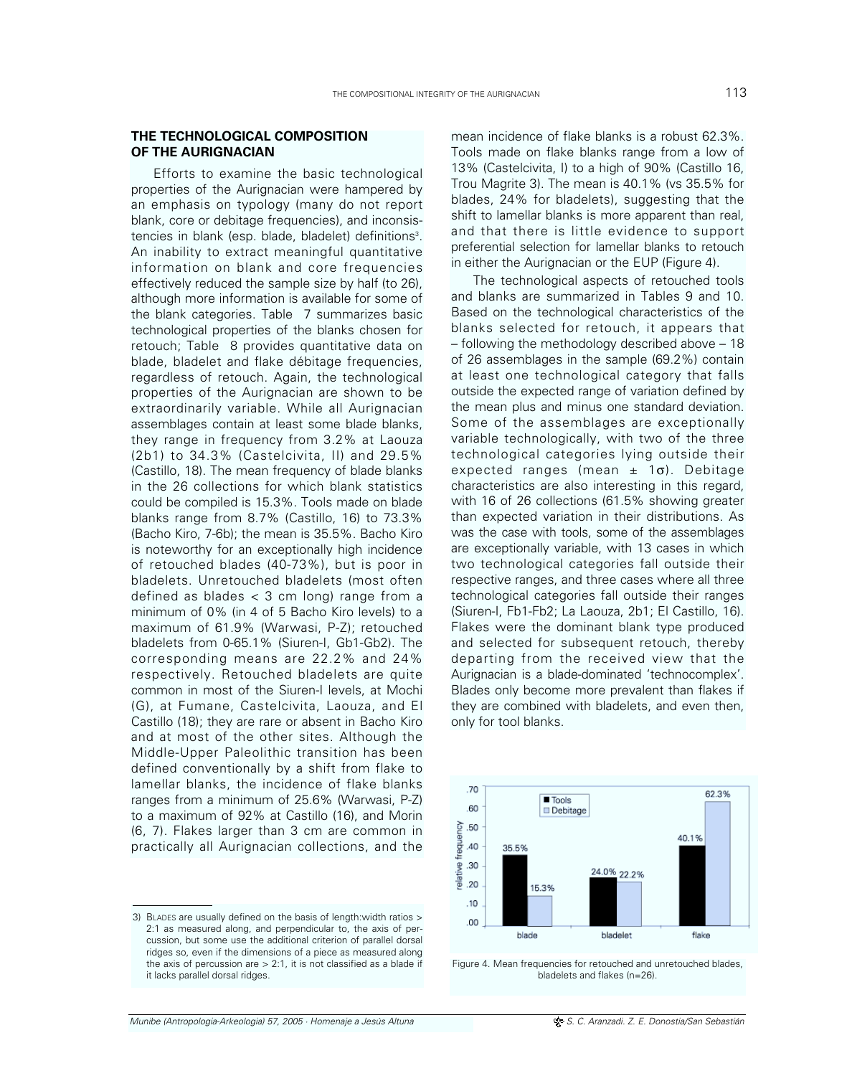# **THE TECHNOLOGICAL COMPOSITION OF THE AURIGNACIAN**

Efforts to examine the basic technological properties of the Aurignacian were hampered by an emphasis on typology (many do not report blank, core or debitage frequencies), and inconsistencies in blank (esp. blade, bladelet) definitions<sup>3</sup>. An inability to extract meaningful quantitative information on blank and core frequencies effectively reduced the sample size by half (to 26), although more information is available for some of the blank categories. Table 7 summarizes basic technological properties of the blanks chosen for retouch; Table 8 provides quantitative data on blade, bladelet and flake débitage frequencies, regardless of retouch. Again, the technological properties of the Aurignacian are shown to be extraordinarily variable. While all Aurignacian assemblages contain at least some blade blanks, they range in frequency from 3.2% at Laouza (2b1) to 34.3% (Castelcivita, II) and 29.5% (Castillo, 18). The mean frequency of blade blanks in the 26 collections for which blank statistics could be compiled is 15.3%. Tools made on blade blanks range from 8.7% (Castillo, 16) to 73.3% (Bacho Kiro, 7-6b); the mean is 35.5%. Bacho Kiro is noteworthy for an exceptionally high incidence of retouched blades (40-73%), but is poor in bladelets. Unretouched bladelets (most often defined as blades  $<$  3 cm long) range from a minimum of 0% (in 4 of 5 Bacho Kiro levels) to a maximum of 61.9% (Warwasi, P-Z); retouched bladelets from 0-65.1% (Siuren-I, Gb1-Gb2). The corresponding means are 22.2% and 24% respectively. Retouched bladelets are quite common in most of the Siuren-I levels, at Mochi (G), at Fumane, Castelcivita, Laouza, and El Castillo (18); they are rare or absent in Bacho Kiro and at most of the other sites. Although the Middle-Upper Paleolithic transition has been defined conventionally by a shift from flake to lamellar blanks, the incidence of flake blanks ranges from a minimum of 25.6% (Warwasi, P-Z) to a maximum of 92% at Castillo (16), and Morin (6, 7). Flakes larger than 3 cm are common in practically all Aurignacian collections, and the

mean incidence of flake blanks is a robust 62.3%. Tools made on flake blanks range from a low of 13% (Castelcivita, I) to a high of 90% (Castillo 16, Trou Magrite 3). The mean is 40.1% (vs 35.5% for blades, 24% for bladelets), suggesting that the shift to lamellar blanks is more apparent than real, and that there is little evidence to support preferential selection for lamellar blanks to retouch in either the Aurignacian or the EUP (Figure 4).

The technological aspects of retouched tools and blanks are summarized in Tables 9 and 10. Based on the technological characteristics of the blanks selected for retouch, it appears that – following the methodology described above – 18 of 26 assemblages in the sample (69.2%) contain at least one technological category that falls outside the expected range of variation defined by the mean plus and minus one standard deviation. Some of the assemblages are exceptionally variable technologically, with two of the three technological categories lying outside their expected ranges (mean  $\pm$  1 $\sigma$ ). Debitage characteristics are also interesting in this regard, with 16 of 26 collections (61.5% showing greater than expected variation in their distributions. As was the case with tools, some of the assemblages are exceptionally variable, with 13 cases in which two technological categories fall outside their respective ranges, and three cases where all three technological categories fall outside their ranges (Siuren-I, Fb1-Fb2; La Laouza, 2b1; El Castillo, 16). Flakes were the dominant blank type produced and selected for subsequent retouch, thereby departing from the received view that the Aurignacian is a blade-dominated 'technocomplex'. Blades only become more prevalent than flakes if they are combined with bladelets, and even then, only for tool blanks.



Figure 4. Mean frequencies for retouched and unretouched blades, bladelets and flakes (n=26).

<sup>3)</sup> BLADES are usually defined on the basis of length:width ratios > 2:1 as measured along, and perpendicular to, the axis of percussion, but some use the additional criterion of parallel dorsal ridges so, even if the dimensions of a piece as measured along the axis of percussion are  $> 2:1$ , it is not classified as a blade if it lacks parallel dorsal ridges.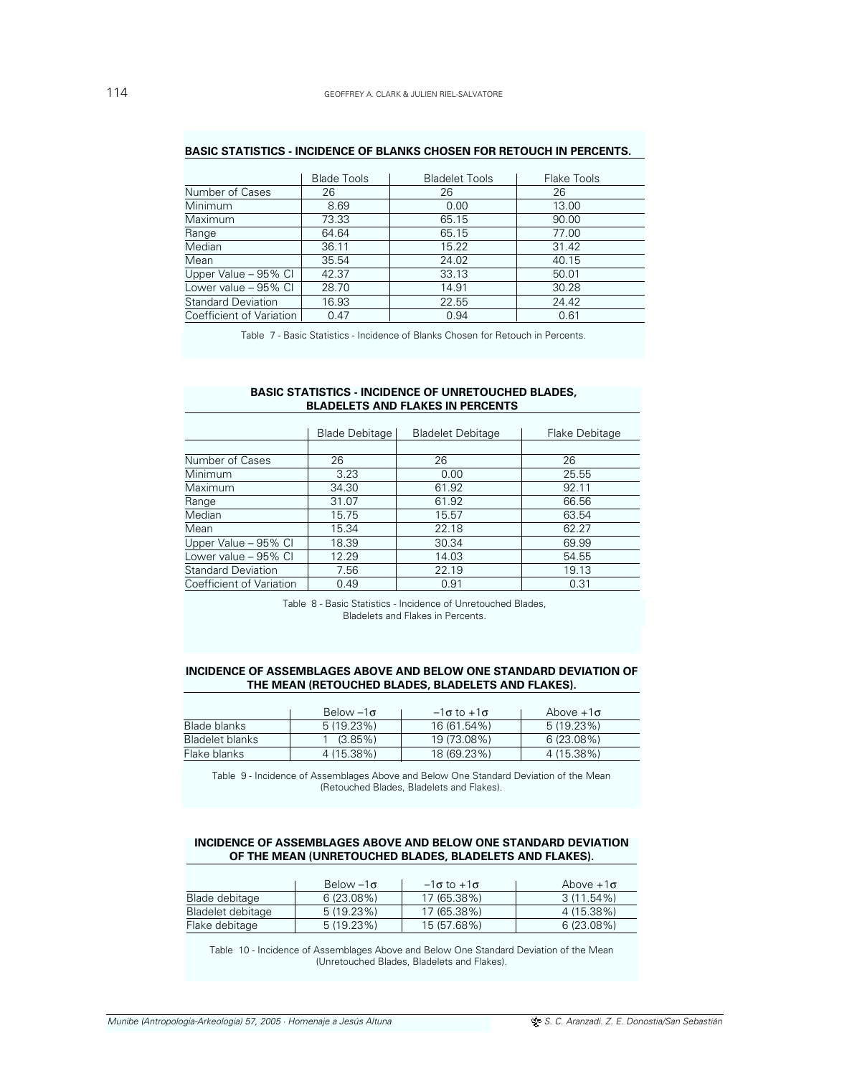|                           | <b>Blade Tools</b> | <b>Bladelet Tools</b> | Flake Tools |
|---------------------------|--------------------|-----------------------|-------------|
| Number of Cases           | 26                 | 26                    | 26          |
| Minimum                   | 8.69               | 0.00                  | 13.00       |
| Maximum                   | 73.33              | 65.15                 | 90.00       |
| Range                     | 64.64              | 65.15                 | 77.00       |
| Median                    | 36.11              | 15.22                 | 31.42       |
| Mean                      | 35.54              | 24.02                 | 40.15       |
| Upper Value - 95% CI      | 42.37              | 33.13                 | 50.01       |
| Lower value - 95% CI      | 28.70              | 14.91                 | 30.28       |
| <b>Standard Deviation</b> | 16.93              | 22.55                 | 24.42       |
| Coefficient of Variation  | 0.47               | 0.94                  | 0.61        |

# **BASIC STATISTICS - INCIDENCE OF BLANKS CHOSEN FOR RETOUCH IN PERCENTS.**

Table 7 - Basic Statistics - Incidence of Blanks Chosen for Retouch in Percents.

# **BASIC STATISTICS - INCIDENCE OF UNRETOUCHED BLADES, BLADELETS AND FLAKES IN PERCENTS**

|                           | <b>Blade Debitage</b> | <b>Bladelet Debitage</b> | Flake Debitage |
|---------------------------|-----------------------|--------------------------|----------------|
|                           |                       |                          |                |
| Number of Cases           | 26                    | 26                       | 26             |
| <b>Minimum</b>            | 3.23                  | 0.00                     | 25.55          |
| Maximum                   | 34.30                 | 61.92                    | 92.11          |
| Range                     | 31.07                 | 61.92                    | 66.56          |
| Median                    | 15.75                 | 15.57                    | 63.54          |
| Mean                      | 15.34                 | 22.18                    | 62.27          |
| Upper Value - 95% CI      | 18.39                 | 30.34                    | 69.99          |
| Lower value - 95% CI      | 12.29                 | 14.03                    | 54.55          |
| <b>Standard Deviation</b> | 7.56                  | 22.19                    | 19.13          |
| Coefficient of Variation  | 0.49                  | 0.91                     | 0.31           |

Table 8 - Basic Statistics - Incidence of Unretouched Blades, Bladelets and Flakes in Percents.

# **INCIDENCE OF ASSEMBLAGES ABOVE AND BELOW ONE STANDARD DEVIATION OF THE MEAN (RETOUCHED BLADES, BLADELETS AND FLAKES).**

|                        | Below $-1\sigma$ | $-1\sigma$ to $+1\sigma$ | Above $+1\sigma$ |
|------------------------|------------------|--------------------------|------------------|
| Blade blanks           | 5(19.23%)        | 16 (61.54%)              | $5(19.23\%)$     |
| <b>Bladelet blanks</b> | $(3.85\%)$       | 19 (73.08%)              | 6(23.08%)        |
| Flake blanks           | 4 (15.38%)       | 18 (69.23%)              | 4 (15.38%)       |

Table 9 - Incidence of Assemblages Above and Below One Standard Deviation of the Mean (Retouched Blades, Bladelets and Flakes).

# **INCIDENCE OF ASSEMBLAGES ABOVE AND BELOW ONE STANDARD DEVIATION OF THE MEAN (UNRETOUCHED BLADES, BLADELETS AND FLAKES).**

|                   | Below $-1\sigma$ | $-1\sigma$ to $+1\sigma$ | Above $+1\sigma$ |
|-------------------|------------------|--------------------------|------------------|
| Blade debitage    | $6(23.08\%)$     | 17 (65.38%)              | 3 (11.54%)       |
| Bladelet debitage | $5(19.23\%)$     | 17 (65.38%)              | 4 (15.38%)       |
| Flake debitage    | $5(19.23\%)$     | 15 (57.68%)              | $6(23.08\%)$     |

Table 10 - Incidence of Assemblages Above and Below One Standard Deviation of the Mean (Unretouched Blades, Bladelets and Flakes).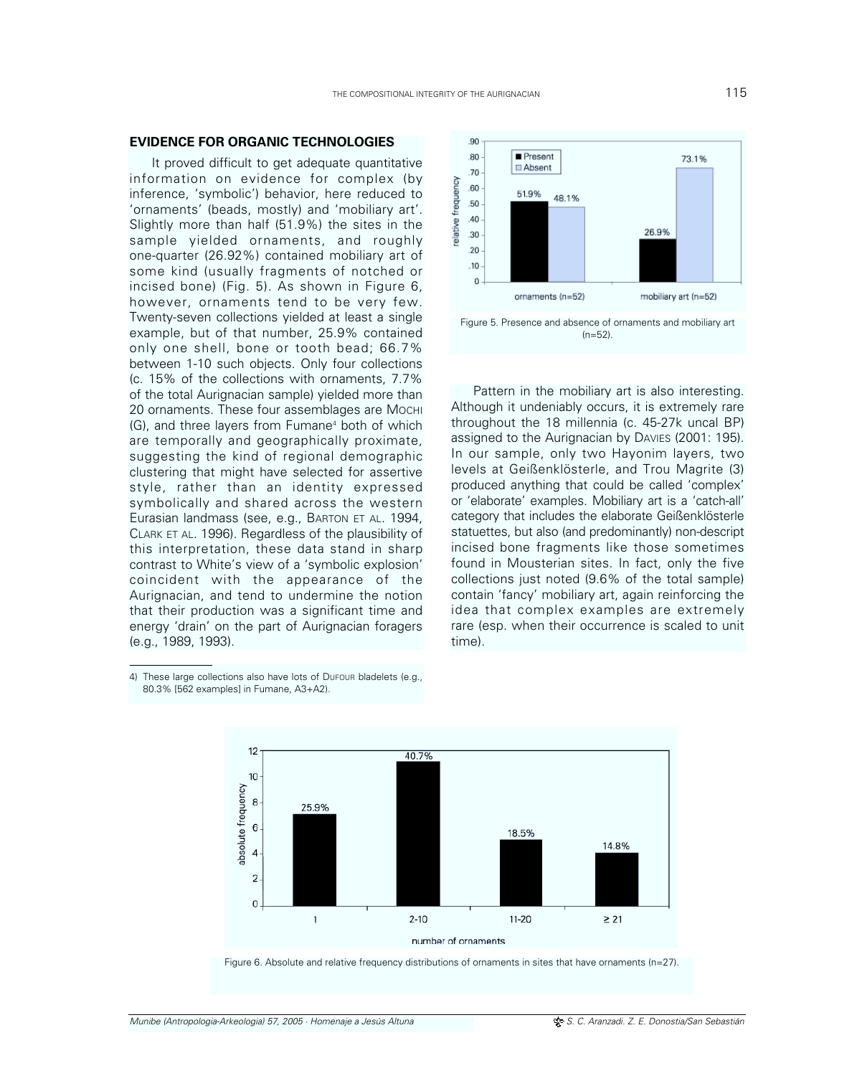It proved difficult to get adequate quantitative information on evidence for complex (by inference, 'symbolic') behavior, here reduced to 'ornaments' (beads, mostly) and 'mobiliary art'. Slightly more than half (51.9%) the sites in the sample yielded ornaments, and roughly one-quarter (26.92%) contained mobiliary art of some kind (usually fragments of notched or incised bone) (Fig. 5). As shown in Figure 6, however, ornaments tend to be very few. Twenty-seven collections yielded at least a single example, but of that number, 25.9% contained only one shell, bone or tooth bead; 66.7% between 1-10 such objects. Only four collections (c. 15% of the collections with ornaments, 7.7% of the total Aurignacian sample) yielded more than 20 ornaments. These four assemblages are MOCHI (G), and three layers from Fumane<sup>4</sup> both of which are temporally and geographically proximate, suggesting the kind of regional demographic clustering that might have selected for assertive style, rather than an identity expressed symbolically and shared across the western Eurasian landmass (see, e.g., BARTON ET AL. 1994, CLARK ET AL. 1996). Regardless of the plausibility of this interpretation, these data stand in sharp contrast to White's view of a 'symbolic explosion' coincident with the appearance of the Aurignacian, and tend to undermine the notion that their production was a significant time and energy 'drain' on the part of Aurignacian foragers (e.g., 1989, 1993).

**EVIDENCE FOR ORGANIC TECHNOLOGIES**

.90 Present .80 73.1% Absent  $.70$ relative frequency .60 51.9% 48.1% .50 .40 26.9% .30  $.20$  $.10$  $\Omega$ ornaments (n=52) mobiliary art (n=52)

Figure 5. Presence and absence of ornaments and mobiliary art  $(n=52)$ .

Pattern in the mobiliary art is also interesting. Although it undeniably occurs, it is extremely rare throughout the 18 millennia (c. 45-27k uncal BP) assigned to the Aurignacian by DAVIES (2001: 195). In our sample, only two Hayonim layers, two levels at Geißenklösterle, and Trou Magrite (3) produced anything that could be called 'complex' or 'elaborate' examples. Mobiliary art is a 'catch-all' category that includes the elaborate Geißenklösterle statuettes, but also (and predominantly) non-descript incised bone fragments like those sometimes found in Mousterian sites. In fact, only the five collections just noted (9.6% of the total sample) contain 'fancy' mobiliary art, again reinforcing the idea that complex examples are extremely rare (esp. when their occurrence is scaled to unit time).

4) These large collections also have lots of DUFOUR bladelets (e.g., 80.3% [562 examples] in Fumane, A3+A2).



Figure 6. Absolute and relative frequency distributions of ornaments in sites that have ornaments (n=27).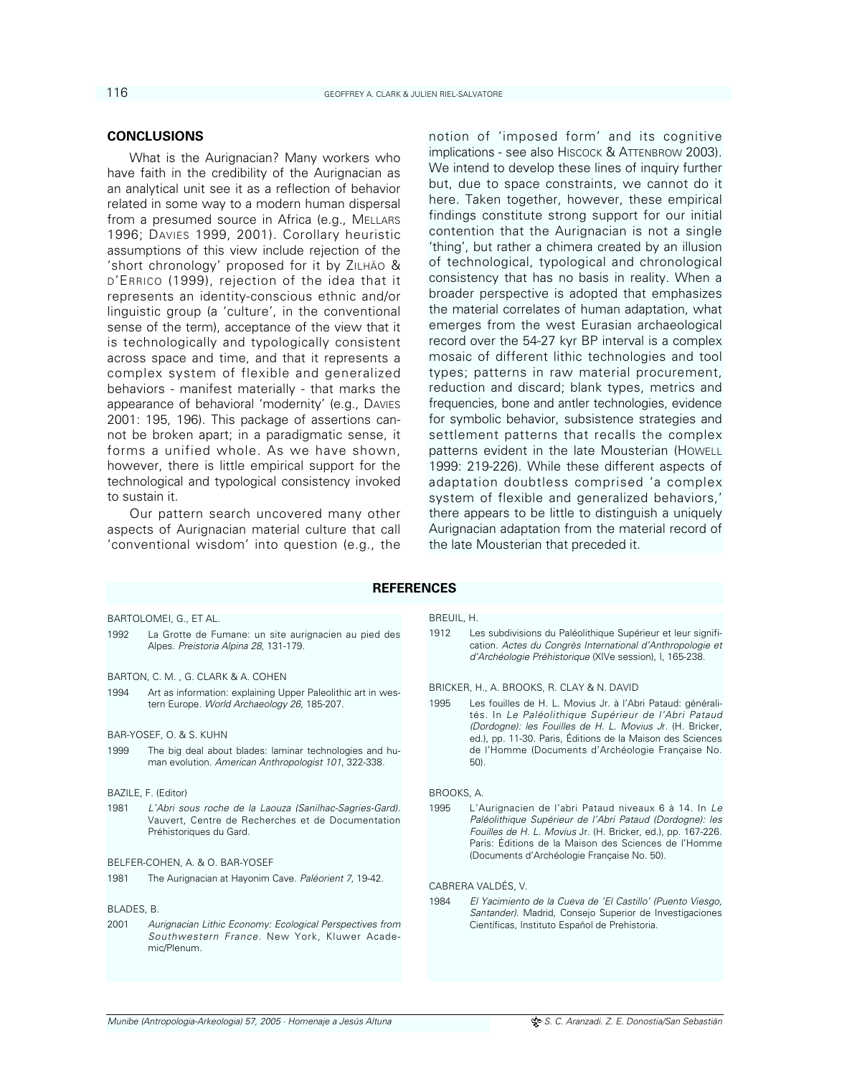# **CONCLUSIONS**

What is the Aurignacian? Many workers who have faith in the credibility of the Aurignacian as an analytical unit see it as a reflection of behavior related in some way to a modern human dispersal from a presumed source in Africa (e.g., MELLARS 1996; DAVIES 1999, 2001). Corollary heuristic assumptions of this view include rejection of the 'short chronology' proposed for it by ZILHÃO & D'ERRICO (1999), rejection of the idea that it represents an identity-conscious ethnic and/or linguistic group (a 'culture', in the conventional sense of the term), acceptance of the view that it is technologically and typologically consistent across space and time, and that it represents a complex system of flexible and generalized behaviors - manifest materially - that marks the appearance of behavioral 'modernity' (e.g., DAVIES 2001: 195, 196). This package of assertions cannot be broken apart; in a paradigmatic sense, it forms a unified whole. As we have shown, however, there is little empirical support for the technological and typological consistency invoked to sustain it.

Our pattern search uncovered many other aspects of Aurignacian material culture that call 'conventional wisdom' into question (e.g., the

notion of 'imposed form' and its cognitive implications - see also HISCOCK & ATTENBROW 2003). We intend to develop these lines of inquiry further but, due to space constraints, we cannot do it here. Taken together, however, these empirical findings constitute strong support for our initial contention that the Aurignacian is not a single 'thing', but rather a chimera created by an illusion of technological, typological and chronological consistency that has no basis in reality. When a broader perspective is adopted that emphasizes the material correlates of human adaptation, what emerges from the west Eurasian archaeological record over the 54-27 kyr BP interval is a complex mosaic of different lithic technologies and tool types; patterns in raw material procurement, reduction and discard; blank types, metrics and frequencies, bone and antler technologies, evidence for symbolic behavior, subsistence strategies and settlement patterns that recalls the complex patterns evident in the late Mousterian (HOWELL 1999: 219-226). While these different aspects of adaptation doubtless comprised 'a complex system of flexible and generalized behaviors,' there appears to be little to distinguish a uniquely Aurignacian adaptation from the material record of the late Mousterian that preceded it.

# **REFERENCES**

BARTOLOMEI, G., ET AL.

1992 La Grotte de Fumane: un site aurignacien au pied des Alpes. Preistoria Alpina 28, 131-179.

BARTON, C. M. , G. CLARK & A. COHEN

1994 Art as information: explaining Upper Paleolithic art in western Europe. World Archaeology 26, 185-207.

### BAR-YOSEF, O. & S. KUHN

1999 The big deal about blades: laminar technologies and human evolution. American Anthropologist 101, 322-338.

### BAZILE, F. (Editor)

1981 L'Abri sous roche de la Laouza (Sanilhac-Sagries-Gard). Vauvert, Centre de Recherches et de Documentation Préhistoriques du Gard.

#### BELFER-COHEN, A. & O. BAR-YOSEF

1981 The Aurignacian at Hayonim Cave. Paléorient 7, 19-42.

### BLADES, B.

2001 Aurignacian Lithic Economy: Ecological Perspectives from Southwestern France. New York, Kluwer Academic/Plenum.

# BREUIL, H.

1912 Les subdivisions du Paléolithique Supérieur et leur signification. Actes du Congrès International d'Anthropologie et d'Archéologie Préhistorique (XIVe session), I, 165-238.

BRICKER, H., A. BROOKS, R. CLAY & N. DAVID

1995 Les fouilles de H. L. Movius Jr. à l'Abri Pataud: généralités. In Le Paléolithique Supérieur de l'Abri Pataud (Dordogne): les Fouilles de H. L. Movius Jr. (H. Bricker, ed.), pp. 11-30. Paris, Éditions de la Maison des Sciences de l'Homme (Documents d'Archéologie Française No. 50).

# BROOKS, A.

1995 L'Aurignacien de l'abri Pataud niveaux 6 à 14. In Le Paléolithique Supérieur de l'Abri Pataud (Dordogne): les Fouilles de H. L. Movius Jr. (H. Bricker, ed.), pp. 167-226. Paris: Éditions de la Maison des Sciences de l'Homme (Documents d'Archéologie Française No. 50).

CABRERA VALDÉS, V.

1984 El Yacimiento de la Cueva de 'El Castillo' (Puento Viesgo, Santander). Madrid, Consejo Superior de Investigaciones Científicas, Instituto Español de Prehistoria.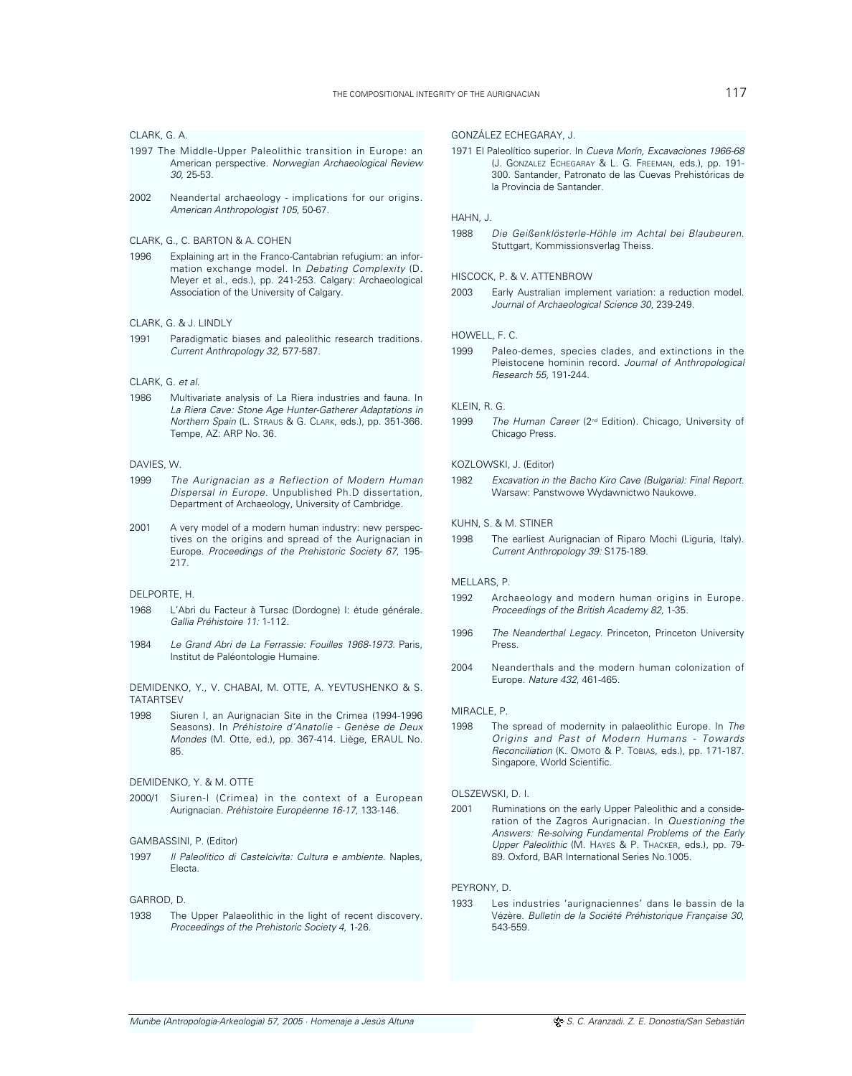#### CLARK, G. A.

- 1997 The Middle-Upper Paleolithic transition in Europe: an American perspective. Norwegian Archaeological Review 30, 25-53.
- 2002 Neandertal archaeology implications for our origins. American Anthropologist 105, 50-67.

### CLARK, G., C. BARTON & A. COHEN

1996 Explaining art in the Franco-Cantabrian refugium: an information exchange model. In Debating Complexity (D. Meyer et al., eds.), pp. 241-253. Calgary: Archaeological Association of the University of Calgary.

#### CLARK, G. & J. LINDLY

1991 Paradigmatic biases and paleolithic research traditions. Current Anthropology 32, 577-587.

### CLARK, G. et al.

1986 Multivariate analysis of La Riera industries and fauna. In La Riera Cave: Stone Age Hunter-Gatherer Adaptations in Northern Spain (L. STRAUS & G. CLARK, eds.), pp. 351-366. Tempe, AZ: ARP No. 36.

#### DAVIES, W.

- 1999 The Aurignacian as a Reflection of Modern Human Dispersal in Europe. Unpublished Ph.D dissertation, Department of Archaeology, University of Cambridge.
- 2001 A very model of a modern human industry: new perspectives on the origins and spread of the Aurignacian in Europe. Proceedings of the Prehistoric Society 67, 195- 217.

#### DELPORTE, H.

- 1968 L'Abri du Facteur à Tursac (Dordogne) I: étude générale. Gallia Préhistoire 11: 1-112.
- 1984 Le Grand Abri de La Ferrassie: Fouilles 1968-1973. Paris, Institut de Paléontologie Humaine.

### DEMIDENKO, Y., V. CHABAI, M. OTTE, A. YEVTUSHENKO & S. **TATARTSFV**

1998 Siuren I, an Aurignacian Site in the Crimea (1994-1996 Seasons). In Préhistoire d'Anatolie - Genèse de Deux Mondes (M. Otte, ed.), pp. 367-414. Liège, ERAUL No. 85.

# DEMIDENKO, Y. & M. OTTE

2000/1 Siuren-I (Crimea) in the context of a European Aurignacian. Préhistoire Européenne 16-17, 133-146.

#### GAMBASSINI, P. (Editor)

1997 Il Paleolitico di Castelcivita: Cultura e ambiente. Naples, Electa.

# GARROD, D.

1938 The Upper Palaeolithic in the light of recent discovery. Proceedings of the Prehistoric Society 4, 1-26.

### GONZÁLEZ ECHEGARAY, J.

1971 El Paleolítico superior. In Cueva Morín, Excavaciones 1966-68 (J. GONZALEZ ECHEGARAY & L. G. FREEMAN, eds.), pp. 191- 300. Santander, Patronato de las Cuevas Prehistóricas de la Provincia de Santander.

#### HAHN, J.

1988 Die Geißenklösterle-Höhle im Achtal bei Blaubeuren. Stuttgart, Kommissionsverlag Theiss.

# HISCOCK, P. & V. ATTENBROW

2003 Early Australian implement variation: a reduction model. Journal of Archaeological Science 30, 239-249.

#### HOWELL, F. C.

1999 Paleo-demes, species clades, and extinctions in the Pleistocene hominin record. Journal of Anthropological Research 55, 191-244.

### KLEIN R G

1999 The Human Career (2<sup>nd</sup> Edition). Chicago, University of Chicago Press.

#### KOZLOWSKI, J. (Editor)

1982 Excavation in the Bacho Kiro Cave (Bulgaria): Final Report. Warsaw: Panstwowe Wydawnictwo Naukowe.

### KUHN, S. & M. STINER

1998 The earliest Aurignacian of Riparo Mochi (Liguria, Italy). Current Anthropology 39: S175-189.

#### MELLARS, P.

- 1992 Archaeology and modern human origins in Europe. Proceedings of the British Academy 82, 1-35.
- 1996 The Neanderthal Legacy. Princeton, Princeton University Press.
- 2004 Neanderthals and the modern human colonization of Europe. Nature 432, 461-465.

### MIRACLE, P.

1998 The spread of modernity in palaeolithic Europe. In The Origins and Past of Modern Humans - Towards Reconciliation (K. Omoto & P. Toblas, eds.), pp. 171-187. Singapore, World Scientific.

### OLSZEWSKI, D. I.

2001 Ruminations on the early Upper Paleolithic and a consideration of the Zagros Aurignacian. In Questioning the Answers: Re-solving Fundamental Problems of the Early Upper Paleolithic (M. HAYES & P. THACKER, eds.), pp. 79- 89. Oxford, BAR International Series No.1005.

### PEYRONY, D.

1933 Les industries 'aurignaciennes' dans le bassin de la Vézère. Bulletin de la Société Préhistorique Française 30, 543-559.